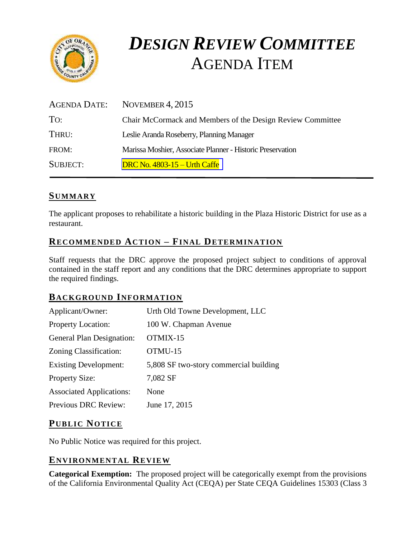

# *DESIGN REVIEW COMMITTEE*  AGENDA ITEM

| AGENDA DATE: | NOVEMBER $4, 2015$                                         |
|--------------|------------------------------------------------------------|
| To:          | Chair McCormack and Members of the Design Review Committee |
| THRU:        | Leslie Aranda Roseberry, Planning Manager                  |
| FROM:        | Marissa Moshier, Associate Planner - Historic Preservation |
| SUBJECT:     | DRC No. $4803 - 15 -$ Urth Caffe                           |

## **SUMMARY**

The applicant proposes to rehabilitate a historic building in the Plaza Historic District for use as a restaurant.

## **RECOMMENDED ACTION – FINAL DETERMINATION**

Staff requests that the DRC approve the proposed project subject to conditions of approval contained in the staff report and any conditions that the DRC determines appropriate to support the required findings.

#### **BACKGROUND INFORMATION**

| Applicant/Owner:                | Urth Old Towne Development, LLC        |
|---------------------------------|----------------------------------------|
| Property Location:              | 100 W. Chapman Avenue                  |
| General Plan Designation:       | OTMIX-15                               |
| Zoning Classification:          | OTMU-15                                |
| <b>Existing Development:</b>    | 5,808 SF two-story commercial building |
| <b>Property Size:</b>           | 7,082 SF                               |
| <b>Associated Applications:</b> | None                                   |
| <b>Previous DRC Review:</b>     | June 17, 2015                          |
|                                 |                                        |

#### **PUB LIC NOTICE**

No Public Notice was required for this project.

## **ENVIRONMENTAL REVIEW**

**Categorical Exemption:** The proposed project will be categorically exempt from the provisions of the California Environmental Quality Act (CEQA) per State CEQA Guidelines 15303 (Class 3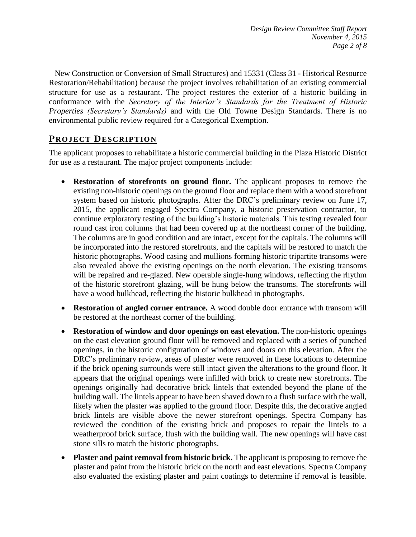– New Construction or Conversion of Small Structures) and 15331 (Class 31 - Historical Resource Restoration/Rehabilitation) because the project involves rehabilitation of an existing commercial structure for use as a restaurant. The project restores the exterior of a historic building in conformance with the *Secretary of the Interior's Standards for the Treatment of Historic Properties (Secretary's Standards)* and with the Old Towne Design Standards. There is no environmental public review required for a Categorical Exemption.

# **PROJECT DESCRIP TION**

The applicant proposes to rehabilitate a historic commercial building in the Plaza Historic District for use as a restaurant. The major project components include:

- **Restoration of storefronts on ground floor.** The applicant proposes to remove the existing non-historic openings on the ground floor and replace them with a wood storefront system based on historic photographs. After the DRC's preliminary review on June 17, 2015, the applicant engaged Spectra Company, a historic preservation contractor, to continue exploratory testing of the building's historic materials. This testing revealed four round cast iron columns that had been covered up at the northeast corner of the building. The columns are in good condition and are intact, except for the capitals. The columns will be incorporated into the restored storefronts, and the capitals will be restored to match the historic photographs. Wood casing and mullions forming historic tripartite transoms were also revealed above the existing openings on the north elevation. The existing transoms will be repaired and re-glazed. New operable single-hung windows, reflecting the rhythm of the historic storefront glazing, will be hung below the transoms. The storefronts will have a wood bulkhead, reflecting the historic bulkhead in photographs.
- **Restoration of angled corner entrance.** A wood double door entrance with transom will be restored at the northeast corner of the building.
- **Restoration of window and door openings on east elevation.** The non-historic openings on the east elevation ground floor will be removed and replaced with a series of punched openings, in the historic configuration of windows and doors on this elevation. After the DRC's preliminary review, areas of plaster were removed in these locations to determine if the brick opening surrounds were still intact given the alterations to the ground floor. It appears that the original openings were infilled with brick to create new storefronts. The openings originally had decorative brick lintels that extended beyond the plane of the building wall. The lintels appear to have been shaved down to a flush surface with the wall, likely when the plaster was applied to the ground floor. Despite this, the decorative angled brick lintels are visible above the newer storefront openings. Spectra Company has reviewed the condition of the existing brick and proposes to repair the lintels to a weatherproof brick surface, flush with the building wall. The new openings will have cast stone sills to match the historic photographs.
- **Plaster and paint removal from historic brick.** The applicant is proposing to remove the plaster and paint from the historic brick on the north and east elevations. Spectra Company also evaluated the existing plaster and paint coatings to determine if removal is feasible.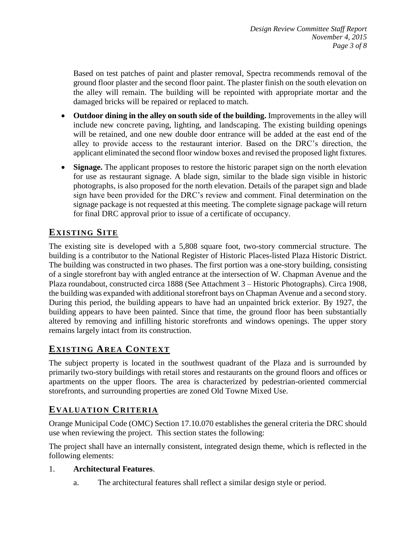Based on test patches of paint and plaster removal, Spectra recommends removal of the ground floor plaster and the second floor paint. The plaster finish on the south elevation on the alley will remain. The building will be repointed with appropriate mortar and the damaged bricks will be repaired or replaced to match.

- **Outdoor dining in the alley on south side of the building.** Improvements in the alley will include new concrete paving, lighting, and landscaping. The existing building openings will be retained, and one new double door entrance will be added at the east end of the alley to provide access to the restaurant interior. Based on the DRC's direction, the applicant eliminated the second floor window boxes and revised the proposed light fixtures.
- **Signage.** The applicant proposes to restore the historic parapet sign on the north elevation for use as restaurant signage. A blade sign, similar to the blade sign visible in historic photographs, is also proposed for the north elevation. Details of the parapet sign and blade sign have been provided for the DRC's review and comment. Final determination on the signage package is not requested at this meeting. The complete signage package will return for final DRC approval prior to issue of a certificate of occupancy.

# **EXISTING SITE**

The existing site is developed with a 5,808 square foot, two-story commercial structure. The building is a contributor to the National Register of Historic Places-listed Plaza Historic District. The building was constructed in two phases. The first portion was a one-story building, consisting of a single storefront bay with angled entrance at the intersection of W. Chapman Avenue and the Plaza roundabout, constructed circa 1888 (See Attachment 3 – Historic Photographs). Circa 1908, the building was expanded with additional storefront bays on Chapman Avenue and a second story. During this period, the building appears to have had an unpainted brick exterior. By 1927, the building appears to have been painted. Since that time, the ground floor has been substantially altered by removing and infilling historic storefronts and windows openings. The upper story remains largely intact from its construction.

# **EXISTING AREA CONTEXT**

The subject property is located in the southwest quadrant of the Plaza and is surrounded by primarily two-story buildings with retail stores and restaurants on the ground floors and offices or apartments on the upper floors. The area is characterized by pedestrian-oriented commercial storefronts, and surrounding properties are zoned Old Towne Mixed Use.

# **EVALUATION CRITERIA**

Orange Municipal Code (OMC) Section 17.10.070 establishes the general criteria the DRC should use when reviewing the project. This section states the following:

The project shall have an internally consistent, integrated design theme, which is reflected in the following elements:

#### 1. **Architectural Features**.

a. The architectural features shall reflect a similar design style or period.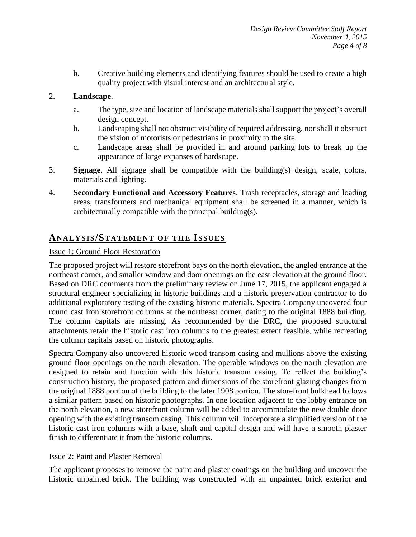b. Creative building elements and identifying features should be used to create a high quality project with visual interest and an architectural style.

#### 2. **Landscape**.

- a. The type, size and location of landscape materials shall support the project's overall design concept.
- b. Landscaping shall not obstruct visibility of required addressing, nor shall it obstruct the vision of motorists or pedestrians in proximity to the site.
- c. Landscape areas shall be provided in and around parking lots to break up the appearance of large expanses of hardscape.
- 3. **Signage**. All signage shall be compatible with the building(s) design, scale, colors, materials and lighting.
- 4. **Secondary Functional and Accessory Features**. Trash receptacles, storage and loading areas, transformers and mechanical equipment shall be screened in a manner, which is architecturally compatible with the principal building(s).

# **ANALY SIS/STATEMENT OF THE ISSUES**

#### Issue 1: Ground Floor Restoration

The proposed project will restore storefront bays on the north elevation, the angled entrance at the northeast corner, and smaller window and door openings on the east elevation at the ground floor. Based on DRC comments from the preliminary review on June 17, 2015, the applicant engaged a structural engineer specializing in historic buildings and a historic preservation contractor to do additional exploratory testing of the existing historic materials. Spectra Company uncovered four round cast iron storefront columns at the northeast corner, dating to the original 1888 building. The column capitals are missing. As recommended by the DRC, the proposed structural attachments retain the historic cast iron columns to the greatest extent feasible, while recreating the column capitals based on historic photographs.

Spectra Company also uncovered historic wood transom casing and mullions above the existing ground floor openings on the north elevation. The operable windows on the north elevation are designed to retain and function with this historic transom casing. To reflect the building's construction history, the proposed pattern and dimensions of the storefront glazing changes from the original 1888 portion of the building to the later 1908 portion. The storefront bulkhead follows a similar pattern based on historic photographs. In one location adjacent to the lobby entrance on the north elevation, a new storefront column will be added to accommodate the new double door opening with the existing transom casing. This column will incorporate a simplified version of the historic cast iron columns with a base, shaft and capital design and will have a smooth plaster finish to differentiate it from the historic columns.

#### Issue 2: Paint and Plaster Removal

The applicant proposes to remove the paint and plaster coatings on the building and uncover the historic unpainted brick. The building was constructed with an unpainted brick exterior and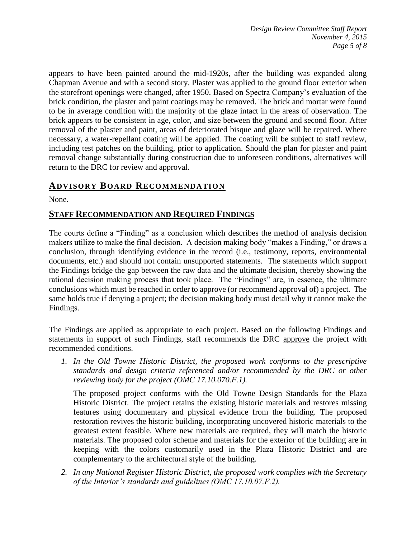appears to have been painted around the mid-1920s, after the building was expanded along Chapman Avenue and with a second story. Plaster was applied to the ground floor exterior when the storefront openings were changed, after 1950. Based on Spectra Company's evaluation of the brick condition, the plaster and paint coatings may be removed. The brick and mortar were found to be in average condition with the majority of the glaze intact in the areas of observation. The brick appears to be consistent in age, color, and size between the ground and second floor. After removal of the plaster and paint, areas of deteriorated bisque and glaze will be repaired. Where necessary, a water-repellant coating will be applied. The coating will be subject to staff review, including test patches on the building, prior to application. Should the plan for plaster and paint removal change substantially during construction due to unforeseen conditions, alternatives will return to the DRC for review and approval.

## **ADVISORY BOARD RECOMMENDATION**

None.

### **STAFF RECOMMENDATION AND REQUIRED FINDINGS**

The courts define a "Finding" as a conclusion which describes the method of analysis decision makers utilize to make the final decision. A decision making body "makes a Finding," or draws a conclusion, through identifying evidence in the record (i.e., testimony, reports, environmental documents, etc.) and should not contain unsupported statements. The statements which support the Findings bridge the gap between the raw data and the ultimate decision, thereby showing the rational decision making process that took place. The "Findings" are, in essence, the ultimate conclusions which must be reached in order to approve (or recommend approval of) a project. The same holds true if denying a project; the decision making body must detail why it cannot make the Findings.

The Findings are applied as appropriate to each project. Based on the following Findings and statements in support of such Findings, staff recommends the DRC approve the project with recommended conditions.

*1. In the Old Towne Historic District, the proposed work conforms to the prescriptive standards and design criteria referenced and/or recommended by the DRC or other reviewing body for the project (OMC 17.10.070.F.1).*

The proposed project conforms with the Old Towne Design Standards for the Plaza Historic District. The project retains the existing historic materials and restores missing features using documentary and physical evidence from the building. The proposed restoration revives the historic building, incorporating uncovered historic materials to the greatest extent feasible. Where new materials are required, they will match the historic materials. The proposed color scheme and materials for the exterior of the building are in keeping with the colors customarily used in the Plaza Historic District and are complementary to the architectural style of the building.

*2. In any National Register Historic District, the proposed work complies with the Secretary of the Interior's standards and guidelines (OMC 17.10.07.F.2).*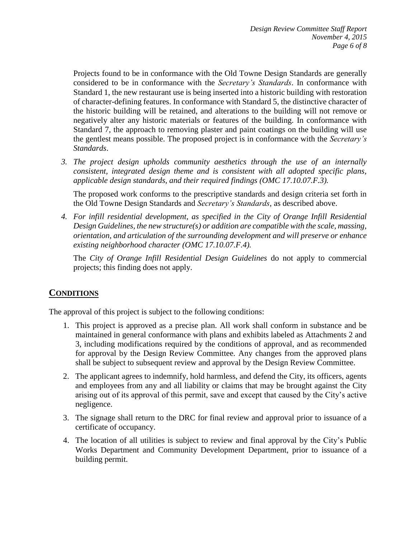Projects found to be in conformance with the Old Towne Design Standards are generally considered to be in conformance with the *Secretary's Standards*. In conformance with Standard 1, the new restaurant use is being inserted into a historic building with restoration of character-defining features. In conformance with Standard 5, the distinctive character of the historic building will be retained, and alterations to the building will not remove or negatively alter any historic materials or features of the building. In conformance with Standard 7, the approach to removing plaster and paint coatings on the building will use the gentlest means possible. The proposed project is in conformance with the *Secretary's Standards*.

*3. The project design upholds community aesthetics through the use of an internally consistent, integrated design theme and is consistent with all adopted specific plans, applicable design standards, and their required findings (OMC 17.10.07.F.3).*

The proposed work conforms to the prescriptive standards and design criteria set forth in the Old Towne Design Standards and *Secretary's Standards*, as described above.

*4. For infill residential development, as specified in the City of Orange Infill Residential Design Guidelines, the new structure(s) or addition are compatible with the scale, massing, orientation, and articulation of the surrounding development and will preserve or enhance existing neighborhood character (OMC 17.10.07.F.4).*

The *City of Orange Infill Residential Design Guidelines* do not apply to commercial projects; this finding does not apply.

## **CONDITIONS**

The approval of this project is subject to the following conditions:

- 1. This project is approved as a precise plan. All work shall conform in substance and be maintained in general conformance with plans and exhibits labeled as Attachments 2 and 3, including modifications required by the conditions of approval, and as recommended for approval by the Design Review Committee. Any changes from the approved plans shall be subject to subsequent review and approval by the Design Review Committee.
- 2. The applicant agrees to indemnify, hold harmless, and defend the City, its officers, agents and employees from any and all liability or claims that may be brought against the City arising out of its approval of this permit, save and except that caused by the City's active negligence.
- 3. The signage shall return to the DRC for final review and approval prior to issuance of a certificate of occupancy.
- 4. The location of all utilities is subject to review and final approval by the City's Public Works Department and Community Development Department, prior to issuance of a building permit.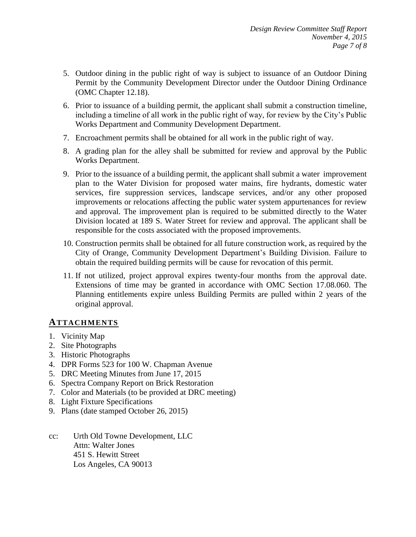- 5. Outdoor dining in the public right of way is subject to issuance of an Outdoor Dining Permit by the Community Development Director under the Outdoor Dining Ordinance (OMC Chapter 12.18).
- 6. Prior to issuance of a building permit, the applicant shall submit a construction timeline, including a timeline of all work in the public right of way, for review by the City's Public Works Department and Community Development Department.
- 7. Encroachment permits shall be obtained for all work in the public right of way.
- 8. A grading plan for the alley shall be submitted for review and approval by the Public Works Department.
- 9. Prior to the issuance of a building permit, the applicant shall submit a water improvement plan to the Water Division for proposed water mains, fire hydrants, domestic water services, fire suppression services, landscape services, and/or any other proposed improvements or relocations affecting the public water system appurtenances for review and approval. The improvement plan is required to be submitted directly to the Water Division located at 189 S. Water Street for review and approval. The applicant shall be responsible for the costs associated with the proposed improvements.
- 10. Construction permits shall be obtained for all future construction work, as required by the City of Orange, Community Development Department's Building Division. Failure to obtain the required building permits will be cause for revocation of this permit.
- 11. If not utilized, project approval expires twenty-four months from the approval date. Extensions of time may be granted in accordance with OMC Section 17.08.060. The Planning entitlements expire unless Building Permits are pulled within 2 years of the original approval.

#### **ATTACHMENTS**

- 1. Vicinity Map
- 2. Site Photographs
- 3. Historic Photographs
- 4. DPR Forms 523 for 100 W. Chapman Avenue
- 5. DRC Meeting Minutes from June 17, 2015
- 6. Spectra Company Report on Brick Restoration
- 7. Color and Materials (to be provided at DRC meeting)
- 8. Light Fixture Specifications
- 9. Plans (date stamped October 26, 2015)
- cc: Urth Old Towne Development, LLC Attn: Walter Jones 451 S. Hewitt Street Los Angeles, CA 90013